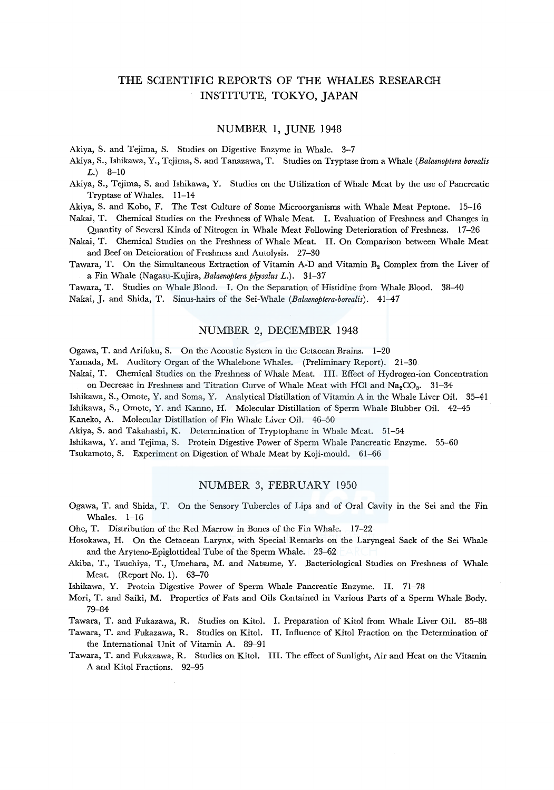# THE SCIENTIFIC REPORTS OF THE WHALES RESEARCH INSTITUTE, TOKYO, JAPAN

## NUMBER 1, JUNE 1948

Akiya, S. and Tejima, S. Studies on Digestive Enzyme in Whale. 3-7

Akiya, S., Ishikawa, Y., Tejima, S. and Tanazawa, T. Studies on Tryptase from a Whale *(Balaenoptera borealis*   $(L.)$  8-10

Akiya, S., Tejima, S. and Ishikawa, Y. Studies on the Utilization of Whale Meat by the use of Pancreatic Tryptase of Whales. 11-14

Akiya, S. and Kobo, F. The Test Culture of Some Microorganisms with Whale Meat Peptone. 15-16

Nakai, T. Chemical Studies on the Freshness of Whale Meat. I. Evaluation of Freshness and Changes in Quantity of Several Kinds of Nitrogen in Whale Meat Following Deterioration of Freshness. 17-26

Nakai, T. Chemical Studies on the Freshness of Whale Meat. II. On Comparison between Whale Meat and Beef on Deteioration of Freshness and Autolysis. 27-30

Tawara, T. On the Simultaneous Extraction of Vitamin A-D and Vitamin  $B_2$  Complex from the Liver of a Fin Whale (Nagasu-Kujira, *Balaenoptera physalus* L.). 31-37

Tawara, T. Studies on Whale Blood. I. On the Separation of Histidine from Whale Blood. 38-40 Nakai, J. and Shida, T. Sinus-hairs of the Sei-Whale *(Balaenoptera-borealis).* 41-47

## NUMBER 2, DECEMBER 1948

Ogawa, T. and Arifuku, S. On the Acoustic System in the Cetacean Brains. 1-20

Yamada, M. Auditory Organ of the Whalebone Whales. (Preliminary Report). 21-30

Nakai, T. Chemical Studies on the Freshness of Whale Meat. Ill. Effect of Hydrogen-ion Concentration on Decrease in Freshness and Titration Curve of Whale Meat with HCl and  $Na_2CO_3$ . 31-34

Ishikawa, S., Omote, Y. and Soma, Y. Analytical Distillation of Vitamin A in the Whale Liver Oil. 35-41

Ishikawa, S., Omote, Y. and Kanno, H. Molecular Distillation of Sperm Whale Blubber Oil. 42-45

Kaneko, A. Molecular Distillation of Fin Whale Liver Oil. 46-50

Akiya, S. and Takahashi, K. Determination of Tryptophane in Whale Meat. 51-54

Ishikawa, Y. and Tejima, S. Protein Digestive Power of Sperm Whale Pancreatic Enzyme. 55-60

Tsukamoto, S. Experiment on Digestion of Whale Meat by Koji-mould. 61-66

### NUMBER 3, FEBRUARY 1950

Ogawa, T. and Shida, T. On the Sensory Tubercles of Lips and of Oral Cavity in the Sei and the Fin Whales. 1-16

Ohe, T. Distribution of the Red Marrow in Bones of the Fin Whale. 17-22

- Hosokawa, H. On the Cetacean Larynx, with Special Remarks on the Laryngeal Sack of the Sei Whale and the Aryteno-Epiglottideal Tube of the Sperm Whale. 23-62
- Akiba, T., Tsuchiya, T., Umehara, M. and Natsume, Y. Bacteriological Studies on Freshness of Whale Meat. (Report No. 1). 63-70

Ishikawa, Y. Protein Digestive Power of Sperm Whale Pancreatic Enzyme. II. 71-78

Mori, T. and Saiki, M. Properties of Fats and Oils Contained in Various Parts of a Sperm Whale Body. 79-84

Tawara, T. and Fukazawa, R. Studies on Kitol. I. Preparation of Kitol from Whale Liver Oil. 85-88

- Tawara, T. and Fukazawa, R. Studies on Kitol. II. Influence of Kitol Fraction on the Determination of the International Unit of Vitamin A. 89-91
- Tawara, T. and Fukazawa, R. Studies on Kitol. III. The effect of Sunlight, Air and Heat on the Vitamin A and Kitol Fractions. 92-95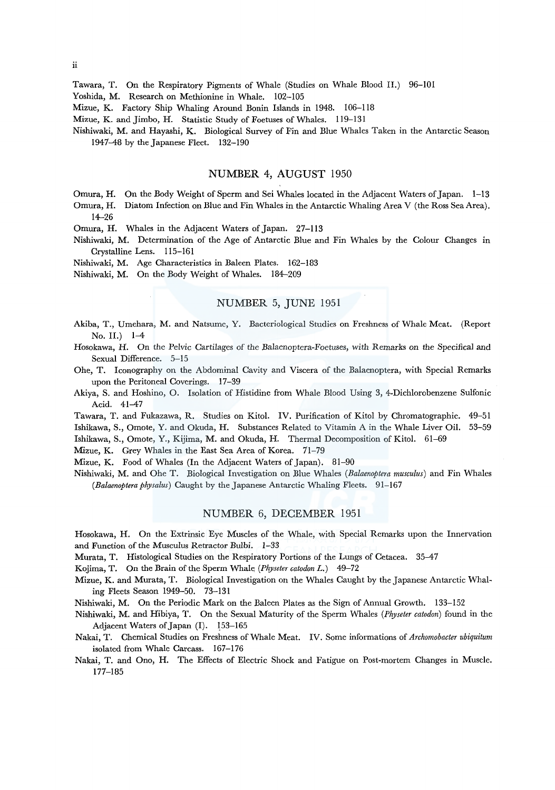Tawara, T. On the Respiratory Pigments of Whale (Studies on Whale Blood II.) 96-101

Yoshida, M. Research on Methionine in Whale. 102-105

Mizue, K. Factory Ship Whaling Around Bonin Islands in 1948. 106-118

Mizue, K. and Jimbo, H. Statistic Study of Foetuses of Whales. 119-131

Nishiwaki, M. and Hayashi, K. Biological Survey of Fin and Blue Whales Taken in the Antarctic Season 1947-48 by the Japanese Fleet. 132-190

## NUMBER 4, AUGUST 1950

- Omura, H. On the Body Weight of Sperm and Sei Whales located in the Adjacent Waters of Japan. 1-13
- Omura, H. Diatom Infection on Blue and Fin Whales in the Antarctic Whaling Area V (the Ross Sea Area). 14-26
- Omura, H. Whales in the Adjacent Waters of Japan. 27-113
- Nishiwaki, M. Determination of the Age of Antarctic Blue and Fin Whales by the Colour Changes in Crystalline Lens. 115-161
- Nishiwaki, M. Age Characteristics in Baleen Plates. 162-183

Nishiwaki, M. On the Body Weight of Whales. 184-209

# NUMBER 5, JUNE 1951

- Akiba, T., Umehara, M. and Natsume, Y. Bacteriological Studies on Freshness of Whale Meat. (Report No. II.) 1-4
- Hosokawa, H. On the Pelvic Cartilages of the Balaenoptera-Foetuses, with Remarks on the Specifical and Sexual Difference. 5-15
- Ohe, T. Iconography on the Abdominal Cavity and Viscera of the Balaenoptera, with Special Remarks upon the Peritoneal Coverings. 17-39
- Akiya, S. and Hoshino, 0. Isolation of Histidine from Whale Blood Using 3, 4-Dichlorobenzene Sulfonic Acid. 41-47
- Tawara, T. and Fukazawa, R. Studies on Kitol. IV. Purification of Kitol by Chromatographie. 49-51 Ishikawa, S., Omote, Y. and Okuda, H. Substances Related to Vitamin A in the Whale Liver Oil. 53-59

Ishikawa, S., Omote, Y., Kijima, M. and Okuda, H. Thermal Decomposition of Kitol. 61-69

Mizue, K. Grey Whales in the East Sea Area of Korea. 71-79

Mizue, K. Food of Whales (In the Adjacent Waters of Japan). 81-90

Nishiwaki, M. and Ohe T. Biological Investigation on Blue Whales *(Balaenoptera musculus)* and Fin Whales *(Balaenoptera physalus)* Caught by the Japanese Antarctic Whaling Fleets. 91-167

### NUMBER 6, DECEMBER 1951

Hosokawa, H. On the Extrinsic Eye Muscles of the Whale, with Special Remarks upon the Innervation and Function of the Musculus Retractor Bulbi. 1-33

Murata, T. Histological Studies on the Respiratory Portions of the Lungs of Cetacea. 35-47

Kojima, T. On the Brain of the Sperm Whale *(Physeter catodon* L.) 49-72

Mizue, K. and Murata, T. Biological Investigation on the Whales Caught by the Japanese Antarctic Whaling Fleets Season 1949-50. 73-131

Nishiwaki, M. On the Periodic Mark on the Baleen Plates as the Sign of Annual Growth. 133-152

Nishiwaki, M. and Hibiya, T. On the Sexual Maturity of the Sperm Whales *(Physeter catodon)* found in the Adjacent Waters of Japan (I). 153-165

- Nakai, T. Chemical Studies on Freshness of Whale Meat. IV. Some informations of *Archomobacter ubiquitum*  isolated from Whale Carcass. 167-176
- Nakai, T. and Ono, H. The Effects of Electric Shock and Fatigue on Post-mortem Changes in Muscle. 177-185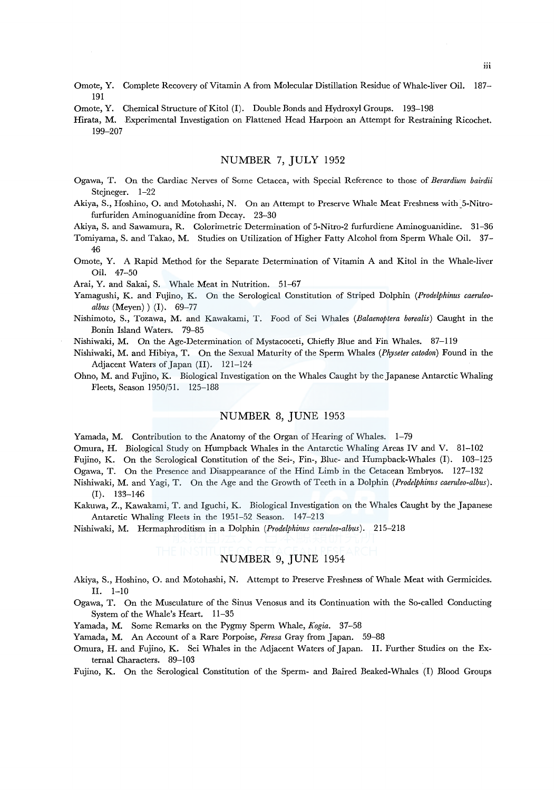- Omote, Y. Complete Recovery of Vitamin A from Molecular Distillation Residue of Whale-liver Oil. 187- 191
- Omote, Y. Chemical Structure of Kitol (I). Double Bonds and Hydroxyl Groups. 193-198

Hirata, M. Experimental Investigation on Flattened Head Harpoon an Attempt for Restraining Ricochet. 199-207

## NUMBER 7, JULY 1952

Ogawa, T. On the Cardiac Nerves of Some Cetacea, with Special Reference to those of *Berardium bairdii*  Stejneger. 1-22

Akiya, S., Hoshino, 0. and Motohashi, N. On an Attempt to Preserve Whale Meat Freshness with\_5-Nitrofurfuriden Aminoguanidine from Decay. 23-30

Akiya, S. and Sawamura, R. Colorimetric Determination of 5-Nitro-2 furfurdiene Aminoguanidine. 31-36

- Tomiyama, S. and Takao, M. Studies on Utilization of Higher Fatty Alcohol from Sperm Whale Oil. 37- 46
- Omote, Y. A Rapid Method for the Separate Determination of Vitamin A and Kitol in the Whale-liver Oil. 47-50

Arai, Y. and Sakai, S. Whale Meat in Nutrition. 51-67

- Yamagushi, K. and Fujino, K. On the Serological Constitution of Striped Dolphin *(Prodelphinus caeruleoalbus* (Meyen) ) (I). 69-77
- Nishimoto, S., Tozawa, M. and Kawakami, T. Food of Sei Whales *(Balaenoptera borealis)* Caught in the Bonin Island Waters. 79-85
- Nishiwaki, M. On the Age-Determination of Mystacoceti, Chiefly Blue and Fin Whales. 87-119
- Nishiwaki, M. and Hibiya, T. On the Sexual Maturity of the Sperm Whales *(Physeter catodon)* Found in the Adjacent Waters of Japan (II). 121-124
- Ohno, M. and Fujino, K. Biological Investigation on the Whales Caught by the Japanese Antarctic Whaling Fleets, Season 1950/51. 125-188

#### NUMBER 8, JUNE 1953

Yamada, M. Contribution to the Anatomy of the Organ of Hearing of Whales. 1-79

Omura, H. Biological Study on Humpback Whales in the Antarctic Whaling Areas IV and V. 81-102

Fujino, K. On the Serological Constitution of the Sei-, Fin-, Blue- and Humpback-Whales (1). 103-125

Ogawa, T. On the Presence and Disappearance of the Hind Limb in the Cetacean Embryos. 127-132

- Nishiwaki, M. and Yagi, T. On the Age and the Growth of Teeth in a Dolphin *(Prodelphinus caeruleo-albus).*  (I). 133-146
- Kakuwa, Z., Kawakami, T. and lguchi, K. Biological Investigation on the Whales Caught by the Japanese Antarctic Whaling Fleets in the 1951-52 Season. 147-213

Nishiwaki, M. Hermaphroditism in a Dolphin *(Prodelphinus caeruleo-albus).* 215-218

## NUMBER 9, JUNE 1954

- Akiya, S., Hoshino, 0. and Motohashi, N. Attempt to Preserve Freshness of Whale Meat with Germicides. II. 1-10
- Ogawa, T. On the Musculature of the Sinus Venosus and its Continuation with the So-called Conducting System of the Whale's Heart. 11-35

Yamada, M. Some Remarks on the Pygmy Sperm Whale, *Kogia.* 37-58

Yamada, M. An Account of a Rare Porpoise, *Feresa* Gray from Japan. 59-88

Omura, H. and Fujino, K. Sei Whales in the Adjacent Waters of Japan. II. Further Studies on the External Characters. 89-103

Fujino, K. On the Serological Constitution of the Sperm- and Baired Beaked-Whales (I) Blood Groups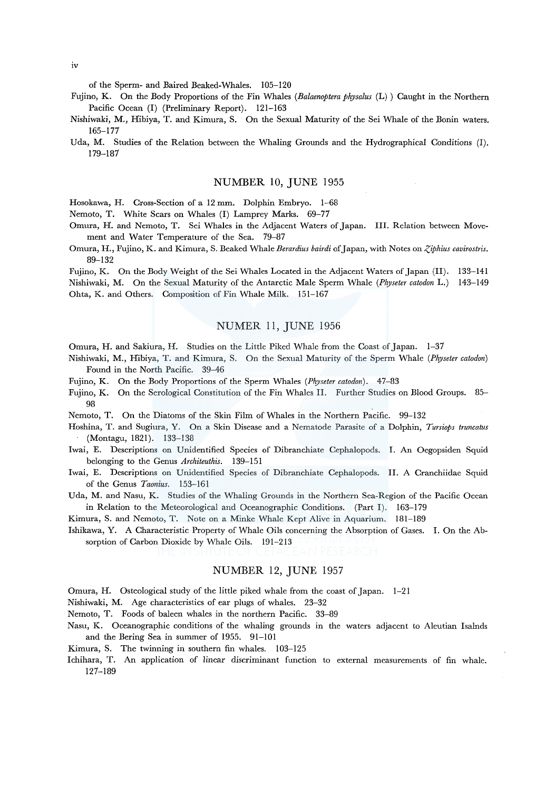of the Sperm- and Baired Beaked-Whales. 105-120

- Fujino, K. On the Body Proportions of the Fin Whales *(Balaenoptera physalus* (L)) Caught in the Northern Pacific Ocean (I) (Preliminary Report). 121-163
- Nishiwaki, M., Hibiya, T. and Kimura, S. On the Sexual Maturity of the Sei Whale of the Bonin waters. 165-177
- Uda, M. Studies of the Relation between the Whaling Grounds and the Hydrographical Conditions (I). 179-187

#### NUMBER 10, JUNE 1955

Hosokawa, H. Cross-Section of a 12 mm. Dolphin Embryo. 1-68

Nemoto, T. White Scars on Whales (I) Lamprey Marks. 69-77

- Omura, H. and Nemoto, T. Sei Whales in the Adjacent Waters of Japan. III. Relation between Movement and Water Temperature of the Sea. 79-87
- Omura, H., Fujino, K. and Kimura, S. Beaked Whale Berardius bairdi of Japan, with Notes on *Ziphius cavirostris.* 89-132

Fujino, K. On the Body Weight of the Sei Whales Located in the Adjacent Waters of Japan (II). 133-141 Nishiwaki, M. On the Sexual Maturity of the Antarctic Male Sperm Whale *(Physeter catodon* L.) 143-149 Ohta, K. and Others. Composition of Fin Whale Milk. 151-167

#### NUMER 11, JUNE 1956

Omura, H. and Sakiura, H. Studies on the Little Piked Whale from the Coast of Japan. 1-37

- Nishiwaki, M., Hibiya, T. and Kimura, S. On the Sexual Maturity of the Sperm Whale *(Physeter catodon)*  Found in the North Pacific. 39-46
- Fujino, K. On the Body Proportions of the Sperm Whales *(Physeter catodon).* 47-83
- Fujino, K. On the Serological Constitution of the Fin Whales II. Further Studies on Blood Groups. 85- 98
- Nemoto, T. On the Diatoms of the Skin Film of Whales in the Northern Pacific. 99-132
- Hoshina, T. and Sugiura, Y. On a Skin Disease and a Nematode Parasite of a Dolphin, *Tursiops truncatus*  (Montagu, 1821). 133-138
- Iwai, E. Descriptions on Unidentified Species of Dibranchiate Cephalopods. I. An Oegopsiden Squid belonging to the Genus *Architeuthis.* 139-151
- Iwai, E. Descriptions on Unidentified Species of Dibranchiate Cephalopods. II. A Cranchiidae Squid of the Genus *Taonius.* 153-161
- Uda, M. and Nasu, K. Studies of the Whaling Grounds in the Northern Sea-Region of the Pacific Ocean in Relation to the Meteorological and Oceanographic Conditions. (Part I). 163-179
- Kimura, S. and Nemoto, T. Note on a Minke Whale Kept Alive in Aquarium. 181-189

Ishikawa, Y. A Characteristic Property of Whale Oils concerning the Absorption of Gases. I. On the Absorption of Carbon Dioxide by Whale Oils. 191-213

## NUMBER 12, JUNE 1957

- Omura, H. Osteological study of the little piked whale from the coast of Japan. 1-21
- Nishiwaki, M. Age characteristics of ear plugs of whales. 23-32
- Nemoto, T. Foods of baleen whales in the northern Pacific. 33-89
- Nasu, K. Oceanographic conditions of the whaling grounds in the waters adjacent to Aleutian Isalnds and the Bering Sea in summer of 1955. 91-101
- Kimura, S. The twinning in southern fin whales. 103-125
- lchihara, T. An application of linear discriminant function to external measurements of fin whale. 127-189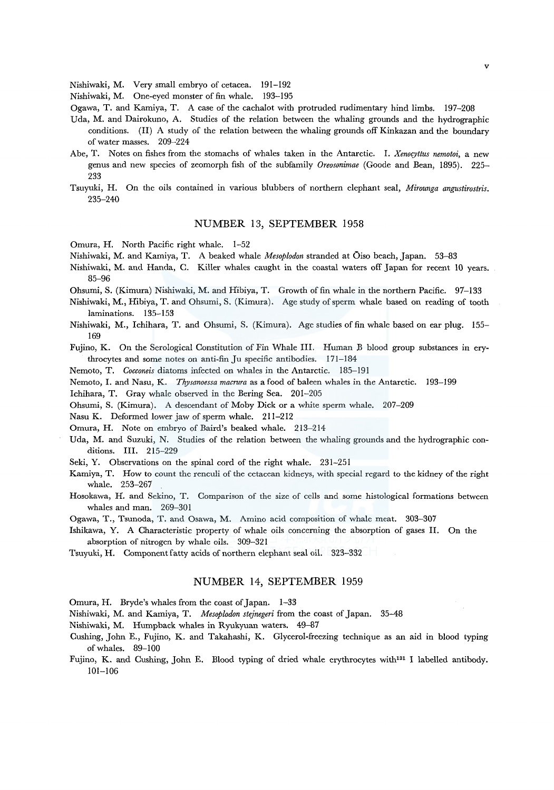Nishiwaki, M. Very small embryo of cetacea. 191-192

Nishiwaki, M. One-eyed monster of fin whale. 193-195

Ogawa, T. and Kamiya, T. A case of the cachalot with protruded rudimentary hind limbs. 197-208

- Uda, M. and Dairokuno, A. Studies of the relation between the whaling grounds and the hydrographic conditions. (II) A study of the relation between the whaling grounds off Kinkazan and the boundary of water masses. 209-224
- Abe, T. Notes on fishes from the stomachs of whales taken in the Antarctic. I. *Xenocyttus nemotoi,* a new genus and new species of zeomorph fish of the subfamily *Oreosonimae* (Goode and Bean, 1895). 225- 233
- Tsuyuki, H. On the oils contained in various blubbers of northern elephant seal, *Mirounga angustirostris.*  235-240

## NUMBER 13, SEPTEMBER 1958

Omura, H. North Pacific right whale. 1-52

Nishiwaki, M. and Kamiya, T. A beaked whale *Mesoplodon* stranded at Oiso beach, Japan. 53-83

- Nishiwaki, M. and Handa, C. Killer whales caught in the coastal waters off Japan for recent 10 years. 85-96
- Ohsumi, S. (Kimura) Nishiwaki, M. and Hibiya, T. Growth of fin whale in the northern Pacific. 97-133
- Nishiwaki, M., Hibiya, T. and Ohsumi, S. (Kimura). Age study of sperm whale based on reading of tooth laminations. 135-153
- Nishiwaki, M., Ichihara, T. and Ohsumi, S. (Kimura). Age studies of fin whale based on ear plug. 155- 169

Fujino, K. On the Serological Constitution of Fin Whale III. Human B blood group substances in erythrocytes and some notes on anti-fin Ju specific antibodies. 171-184

Nemoto, T. *Cocconeis* diatoms infected on whales in the Antarctic. 185-191

Nemoto, I. and Nasu, K. *Thysanoessa macrura* as a food of baleen whales in the Antarctic. 193-199

Ichihara, T. Gray whale observed in the Bering Sea. 201-205

Ohsumi, S. (Kimura). A descendant of Moby Dick or a white sperm whale. 207-209

Nasu K. Deformed lower jaw of sperm whale. 211-212

Omura, H. Note on embryo of Baird's beaked whale. 213-214

- Uda, M. and Suzuki, N. Studies of the relation between the whaling grounds and the hydrographic conditions. III. 215-229
- Seki, Y. Observations on the spinal cord of the right whale. 231-251
- Kamiya, T. How to count the renculi of the cetacean kidneys, with special regard to the kidney of the right whale. 253-267
- Hosokawa, H. and Sekino, T. Comparison of the size of cells and some histological formations between whales and man. 269-301
- Ogawa, T., Tsunoda, T. and Osawa, M. Amino acid composition of whale meat. 303-307
- Ishikawa, Y. A Characteristic property of whale oils concerning the absorption of gases II. On the absorption of nitrogen by whale oils. 309-321

Tsuyuki, H. Component fatty acids of northern elephant seal oil. 323-332

#### NUMBER 14, SEPTEMBER 1959

Omura, H. Bryde's whales from the coast of Japan. 1-33

Nishiwaki, M. and Kamiya, T. *Mesoplodon steinegeri* from the coast of Japan. 35-48

- Nishiwaki, M. Humpback whales in Ryukyuan waters. 49-87
- Cushing, John E., Fujino, K. and Takahashi, K. Glycerol-freezing technique as an aid in blood typing of whales. 89-100
- Fujino, K. and Cushing, John E. Blood typing of dried whale erythrocytes with131 I labelled antibody. 101-106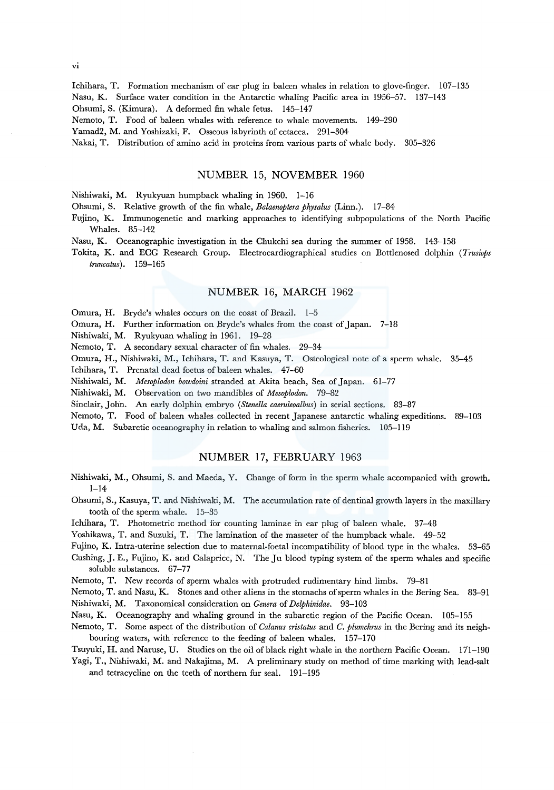lchihara, T. Formation mechanism of ear plug in baleen whales in relation to glove-finger. 107-135 Nasu, K. Surface water condition in the Antarctic whaling Pacific area in 1956-57. 137-143

Ohsumi, S. (Kimura). A deformed fin whale fetus. 145-147

Nemoto, T. Food of baleen whales with reference to whale movements. 149-290

Yamad2, M. and Yoshizaki, F. Osseous labyrinth of cetacea. 291-304

Nakai, T. Distribution of amino acid in proteins from various parts of whale body. 305-326

#### NUMBER 15, NOVEMBER 1960

Nishiwaki, M. Ryukyuan humpback whaling in 1960. 1-16

Ohsumi, S. Relative growth of the fin whale, *Balaenoptera physalus* (Linn.). 17-84

Fujino, K. Immunogenetic and marking approaches to identifying subpopulations of the North Pacific Whales. 85-142

Nasu, K. Oceanographic investigation in the Chukchi sea during the summer of 1958. 143-158

Tokita, K. and ECG Research Group. Electrocardiographical studies on Bottlenosed dolphin *(Trusiops truncatus).* 159-165

## NUMBER 16, MARCH 1962

Omura, H. Bryde's whales occurs on the coast of Brazil. 1-5

Omura, H. Further information on Bryde's whales from the coast of Japan. 7-18

Nishiwaki, M. Ryukyuan whaling in 1961. 19-28

Nemoto, T. A secondary sexual character of fin whales. 29-34

Omura, H., Nishiwaki, M., lchihara, T. and Kasuya, T. Osteological note of a sperm whale. 35-45

Ichihara, T. Prenatal dead foetus of baleen whales. 47-60

Nishiwaki, M. *Mesoplodon bowdoini* stranded at Akita beach, Sea of Japan. 61-77

Nishiwaki, M. Observation on two mandibles of *Mesoplodon.* 79-82

Sinclair, John. An early dolphin embryo *(Stenella caeruleoalbus)* in serial sections. 83-87

Nemoto, T. Food of baleen whales collected in recent Japanese antarctic whaling expeditions. 89-103

Uda, M. Subarctic oceanography in relation to whaling and salmon fisheries. 105-119

## NUMBER 17, FEBRUARY 1963

- Nishiwaki, M., Ohsumi, S. and Maeda, Y. Change of form in the sperm whale accompanied with growth.  $1 - 14$
- Ohsumi, S., Kasuya, T. and Nishiwaki, M. The accumulation rate of dentinal growth layers in the maxillary tooth of the sperm whale. 15-35
- lchihara, T. Photometric method for counting laminae in ear plug of baleen whale. 37-48

Yoshikawa, T. and Suzuki, T. The lamination of the masseter of the humpback whale. 49-52

Fujino, K. Intra-uterine selection due to maternal-foetal incompatibility of blood type in the whales. 53-65

Cushing, J.E., Fujino, K. and Calaprice, N. The Ju blood typing system of the sperm whales and specific soluble substances. 67-77

Nemoto, T. New records of sperm whales with protruded rudimentary hind limbs. 79-81

Nemoto, T. and Nasu, K. Stones and other aliens in the stomachs of sperm whales in the Bering Sea. 83-91 Nishiwaki, M. Taxonomical consideration on *Genera* of *Delphinidae.* 93-103

Nasu, K. Oceanography and whaling ground in the subarctic region of the Pacific Ocean. 105-155

Nemoto, T. Some aspect of the distribution of *Calanus cristatus* and *C. plumchrus* in the Bering and its neighbouring waters, with reference to the feeding of baleen whales. 157-170

Tsuyuki, H. and Naruse, U. Studies on the oil of black right whale in the northern Pacific Ocean. 171-190 Yagi, T., Nishiwaki, M. and Nakajima, M. A preliminary study on method of time marking with lead-salt

and tetracycline on the teeth of northern fur seal. 191-195

VI